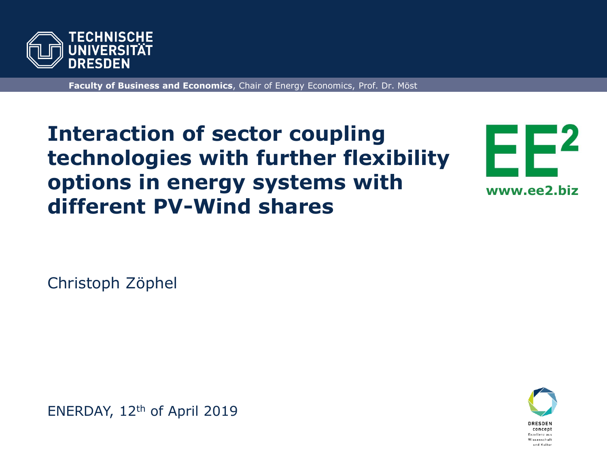

**Faculty of Business and Economics**, Chair of Energy Economics, Prof. Dr. Möst

## **Interaction of sector coupling technologies with further flexibility options in energy systems with different PV-Wind shares**



Christoph Zöphel

ENERDAY, 12th of April 2019

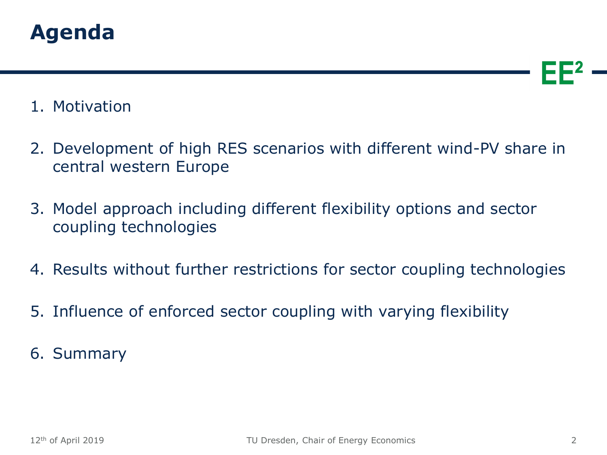

#### 1. Motivation

- 2. Development of high RES scenarios with different wind-PV share in central western Europe
- 3. Model approach including different flexibility options and sector coupling technologies
- 4. Results without further restrictions for sector coupling technologies
- 5. Influence of enforced sector coupling with varying flexibility

6. Summary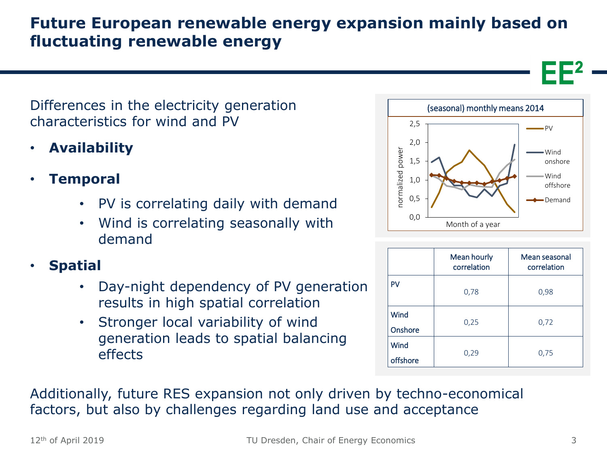## **Future European renewable energy expansion mainly based on fluctuating renewable energy**

Differences in the electricity generation characteristics for wind and PV

- **Availability**
- **Temporal**
	- PV is correlating daily with demand
	- Wind is correlating seasonally with demand
- **Spatial**
	- Day-night dependency of PV generation results in high spatial correlation
	- Stronger local variability of wind generation leads to spatial balancing effects



|                  | Mean hourly<br>correlation | Mean seasonal<br>correlation |
|------------------|----------------------------|------------------------------|
| PV               | 0,78                       | 0,98                         |
| Wind<br>Onshore  | 0,25                       | 0,72                         |
| Wind<br>offshore | 0,29                       | 0,75                         |

Additionally, future RES expansion not only driven by techno-economical factors, but also by challenges regarding land use and acceptance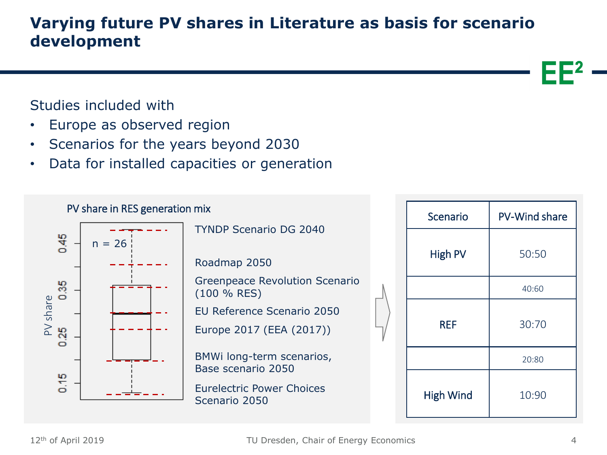**Varying future PV shares in Literature as basis for scenario development** 

#### Studies included with

- Europe as observed region
- Scenarios for the years beyond 2030
- Data for installed capacities or generation

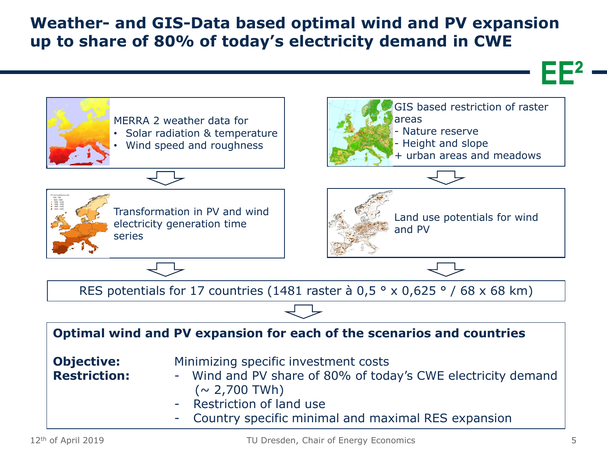#### **Weather- and GIS-Data based optimal wind and PV expansion up to share of 80% of today's electricity demand in CWE**

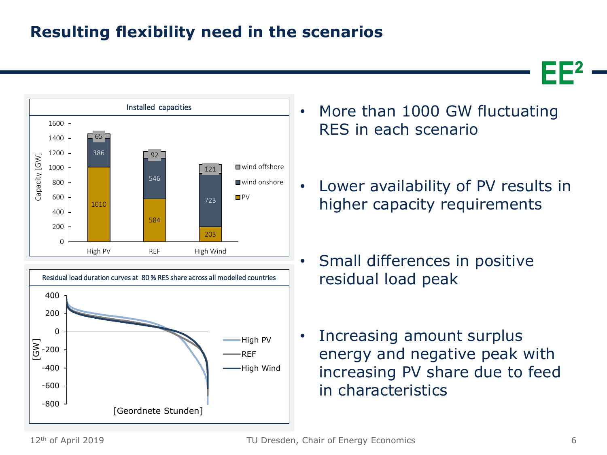## **Resulting flexibility need in the scenarios**





- More than 1000 GW fluctuating RES in each scenario
- Lower availability of PV results in higher capacity requirements
- Small differences in positive residual load peak
- Increasing amount surplus energy and negative peak with increasing PV share due to feed in characteristics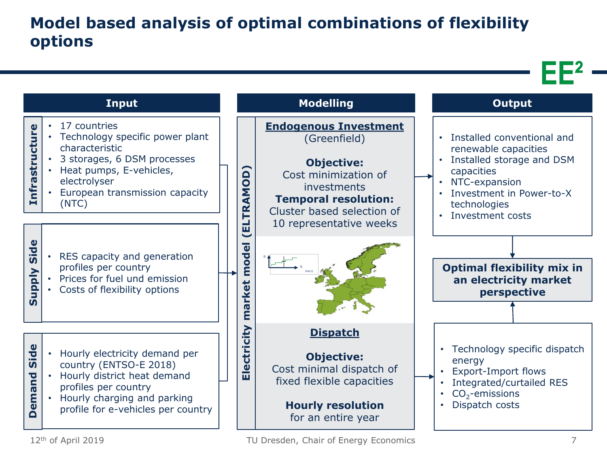## **Model based analysis of optimal combinations of flexibility options**

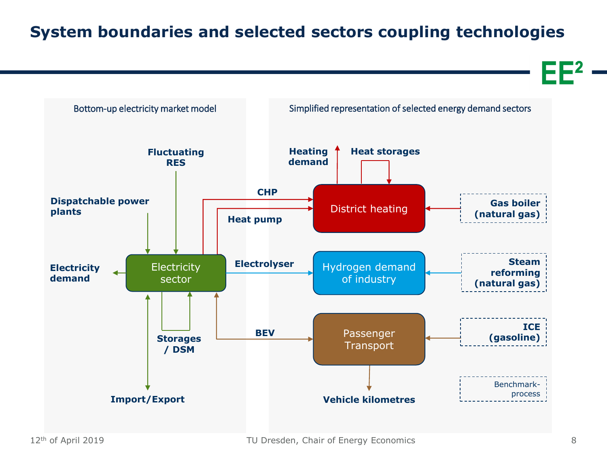## **System boundaries and selected sectors coupling technologies**

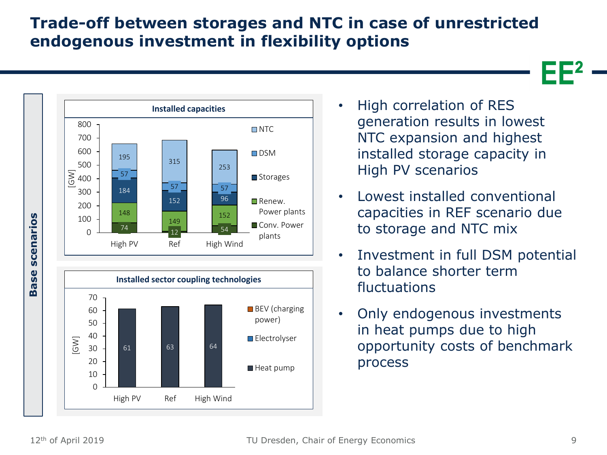#### **Trade-off between storages and NTC in case of unrestricted endogenous investment in flexibility options**





- High correlation of RES generation results in lowest NTC expansion and highest installed storage capacity in High PV scenarios
- Lowest installed conventional capacities in REF scenario due to storage and NTC mix
- Investment in full DSM potential to balance shorter term fluctuations
- Only endogenous investments in heat pumps due to high opportunity costs of benchmark process

scenarios

Base :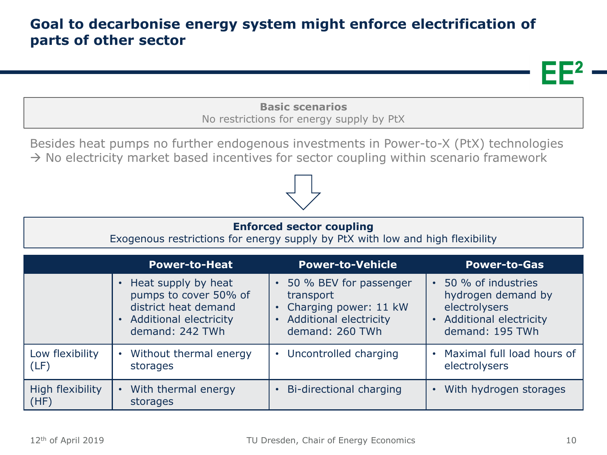#### **Goal to decarbonise energy system might enforce electrification of parts of other sector**

**Basic scenarios** No restrictions for energy supply by PtX

Besides heat pumps no further endogenous investments in Power-to-X (PtX) technologies  $\rightarrow$  No electricity market based incentives for sector coupling within scenario framework

#### **Enforced sector coupling**

Exogenous restrictions for energy supply by PtX with low and high flexibility

|                          | <b>Power-to-Heat</b>              | <b>Power-to-Vehicle</b>   | <b>Power-to-Gas</b>        |
|--------------------------|-----------------------------------|---------------------------|----------------------------|
|                          | • Heat supply by heat             | 50 % BEV for passenger    | 50 % of industries         |
|                          | pumps to cover 50% of             | transport                 | hydrogen demand by         |
|                          | district heat demand              | • Charging power: 11 kW   | electrolysers              |
|                          | • Additional electricity          | • Additional electricity  | • Additional electricity   |
|                          | demand: 242 TWh                   | demand: 260 TWh           | demand: 195 TWh            |
| Low flexibility          | • Without thermal energy          | • Uncontrolled charging   | Maximal full load hours of |
| (LF)                     | storages                          |                           | electrolysers              |
| High flexibility<br>(HF) | • With thermal energy<br>storages | • Bi-directional charging | With hydrogen storages     |





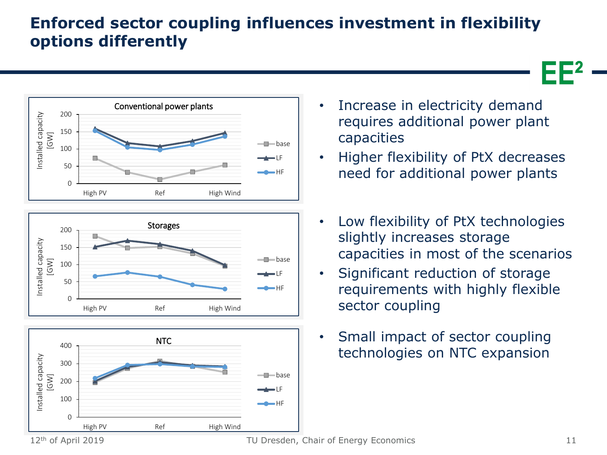## **Enforced sector coupling influences investment in flexibility options differently**







- Increase in electricity demand requires additional power plant capacities
- Higher flexibility of PtX decreases need for additional power plants
- Low flexibility of PtX technologies slightly increases storage capacities in most of the scenarios
- Significant reduction of storage requirements with highly flexible sector coupling
- Small impact of sector coupling technologies on NTC expansion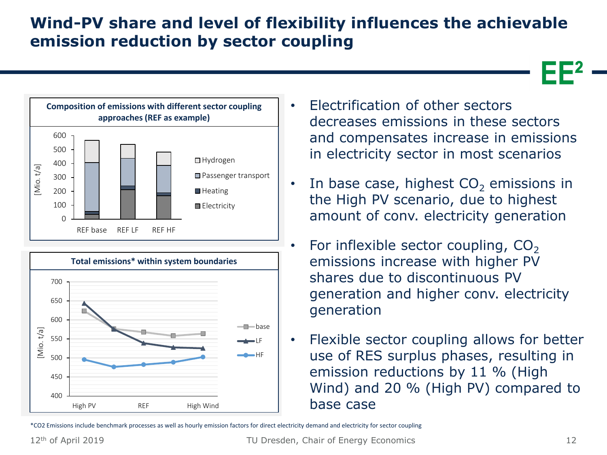## **Wind-PV share and level of flexibility influences the achievable emission reduction by sector coupling**







- Electrification of other sectors decreases emissions in these sectors and compensates increase in emissions in electricity sector in most scenarios
- In base case, highest  $CO<sub>2</sub>$  emissions in the High PV scenario, due to highest amount of conv. electricity generation
- For inflexible sector coupling,  $CO<sub>2</sub>$ emissions increase with higher PV shares due to discontinuous PV generation and higher conv. electricity generation
- Flexible sector coupling allows for better use of RES surplus phases, resulting in emission reductions by 11 % (High Wind) and 20 % (High PV) compared to base case

\*CO2 Emissions include benchmark processes as well as hourly emission factors for direct electricity demand and electricity for sector coupling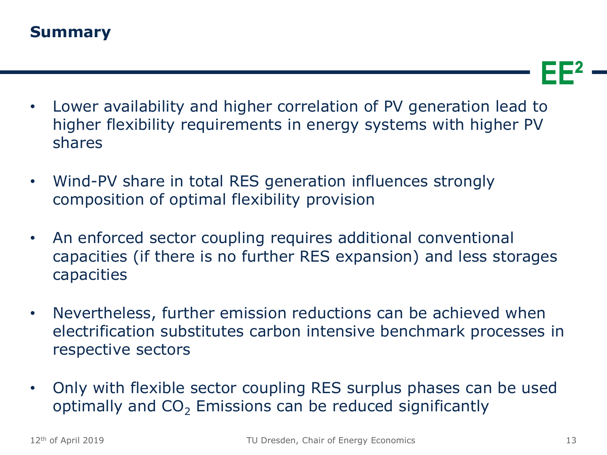- Lower availability and higher correlation of PV generation lead to higher flexibility requirements in energy systems with higher PV shares
- Wind-PV share in total RES generation influences strongly composition of optimal flexibility provision
- An enforced sector coupling requires additional conventional capacities (if there is no further RES expansion) and less storages capacities
- Nevertheless, further emission reductions can be achieved when electrification substitutes carbon intensive benchmark processes in respective sectors
- Only with flexible sector coupling RES surplus phases can be used optimally and  $CO<sub>2</sub>$  Emissions can be reduced significantly